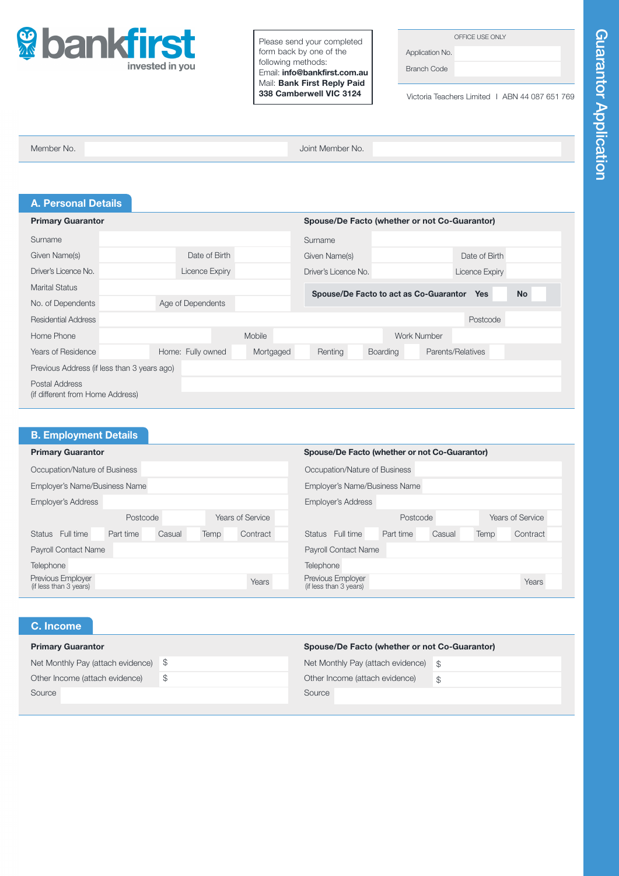

Please send your completed form back by one of the following methods: Email: info@bankfirst.com.au Mail: Bank First Reply Paid 338 Camberwell VIC 3124

OFFICE USE ONLY

Application No. Branch Code

Victoria Teachers Limited I ABN 44 087 651 769

Member No. Joint Member No.

| <b>A. Personal Details</b>                         |                   |           |                                               |                 |                    |                   |           |
|----------------------------------------------------|-------------------|-----------|-----------------------------------------------|-----------------|--------------------|-------------------|-----------|
| <b>Primary Guarantor</b>                           |                   |           | Spouse/De Facto (whether or not Co-Guarantor) |                 |                    |                   |           |
| Surname                                            |                   |           | Surname                                       |                 |                    |                   |           |
| Given Name(s)                                      | Date of Birth     |           | Given Name(s)                                 |                 |                    | Date of Birth     |           |
| Driver's Licence No.                               | Licence Expiry    |           | Driver's Licence No.                          |                 |                    | Licence Expiry    |           |
| <b>Marital Status</b>                              |                   |           | Spouse/De Facto to act as Co-Guarantor Yes    |                 |                    |                   | <b>No</b> |
| No. of Dependents                                  | Age of Dependents |           |                                               |                 |                    |                   |           |
| <b>Residential Address</b>                         |                   |           |                                               |                 |                    | Postcode          |           |
| Home Phone                                         |                   | Mobile    |                                               |                 | <b>Work Number</b> |                   |           |
| <b>Years of Residence</b>                          | Home: Fully owned | Mortgaged | Renting                                       | <b>Boarding</b> |                    | Parents/Relatives |           |
| Previous Address (if less than 3 years ago)        |                   |           |                                               |                 |                    |                   |           |
| Postal Address<br>(if different from Home Address) |                   |           |                                               |                 |                    |                   |           |

| <b>B. Employment Details</b>                |                              |                                               |      |          |                                             |           |                  |      |          |
|---------------------------------------------|------------------------------|-----------------------------------------------|------|----------|---------------------------------------------|-----------|------------------|------|----------|
| <b>Primary Guarantor</b>                    |                              | Spouse/De Facto (whether or not Co-Guarantor) |      |          |                                             |           |                  |      |          |
| Occupation/Nature of Business               |                              | Occupation/Nature of Business                 |      |          |                                             |           |                  |      |          |
| Employer's Name/Business Name               |                              | Employer's Name/Business Name                 |      |          |                                             |           |                  |      |          |
| <b>Employer's Address</b>                   |                              | <b>Employer's Address</b>                     |      |          |                                             |           |                  |      |          |
|                                             | Years of Service<br>Postcode |                                               |      | Postcode |                                             |           | Years of Service |      |          |
| Status Full time                            | Part time                    | Casual                                        | Temp | Contract | Status Full time                            | Part time | Casual           | Temp | Contract |
| <b>Payroll Contact Name</b>                 |                              |                                               |      |          | <b>Payroll Contact Name</b>                 |           |                  |      |          |
| Telephone                                   |                              |                                               |      |          | Telephone                                   |           |                  |      |          |
| Previous Employer<br>(if less than 3 years) |                              |                                               |      | Years    | Previous Employer<br>(if less than 3 years) |           |                  |      | Years    |

## C. Income

| <b>Primary Guarantor</b>              | Spouse/De Facto (whether or not Co-Guarantor) |               |  |  |  |
|---------------------------------------|-----------------------------------------------|---------------|--|--|--|
| Net Monthly Pay (attach evidence) $$$ | Net Monthly Pay (attach evidence) \$          |               |  |  |  |
| Other Income (attach evidence)        | Other Income (attach evidence)                | $\mathcal{S}$ |  |  |  |
| Source                                | Source                                        |               |  |  |  |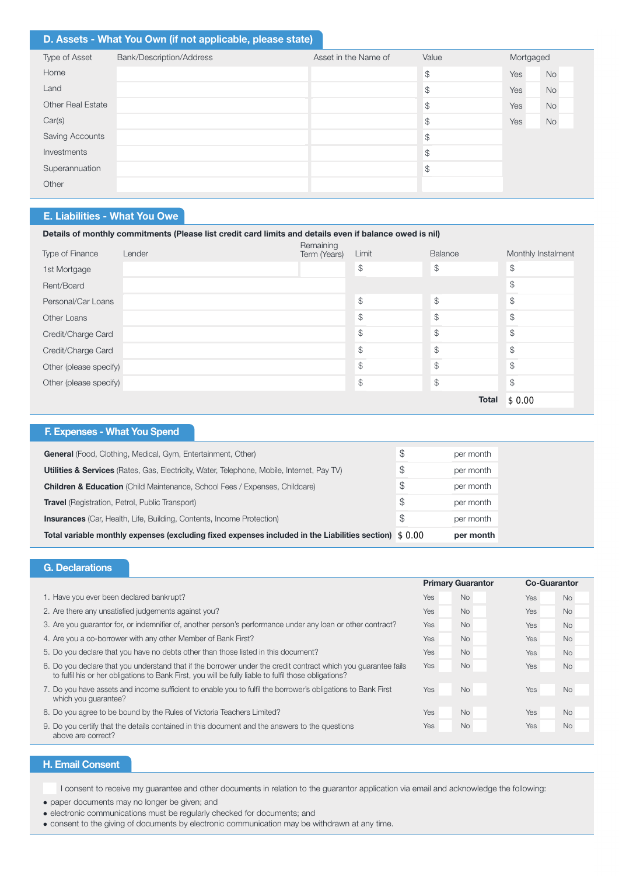## D. Assets - What You Own (if not applicable, please state)

| Type of Asset     | Bank/Description/Address | Asset in the Name of | Value          | Mortgaged |           |
|-------------------|--------------------------|----------------------|----------------|-----------|-----------|
| Home              |                          |                      | $$\mathbb{S}$$ | Yes       | <b>No</b> |
| Land              |                          |                      | \$             | Yes       | No        |
| Other Real Estate |                          |                      | \$             | Yes       | No        |
| Car(s)            |                          |                      | \$             | Yes       | No        |
| Saving Accounts   |                          |                      | \$             |           |           |
| Investments       |                          |                      | \$             |           |           |
| Superannuation    |                          |                      | \$             |           |           |
| Other             |                          |                      |                |           |           |
|                   |                          |                      |                |           |           |

# E. Liabilities - What You Owe

| Details of monthly commitments (Please list credit card limits and details even if balance owed is nil) |        |                           |               |               |                    |  |  |  |
|---------------------------------------------------------------------------------------------------------|--------|---------------------------|---------------|---------------|--------------------|--|--|--|
| Type of Finance                                                                                         | Lender | Remaining<br>Term (Years) | Limit         | Balance       | Monthly Instalment |  |  |  |
| 1st Mortgage                                                                                            |        |                           | $\mathcal{L}$ | \$            | $$\mathbb{S}$$     |  |  |  |
| Rent/Board                                                                                              |        |                           |               |               | $\mathcal{L}$      |  |  |  |
| Personal/Car Loans                                                                                      |        |                           | $\mathcal{L}$ | $\mathcal{L}$ | $\mathcal{S}$      |  |  |  |
| Other Loans                                                                                             |        |                           | $\mathcal{L}$ | \$            | $\mathcal{L}$      |  |  |  |
| Credit/Charge Card                                                                                      |        |                           | $\mathcal{L}$ | $\mathcal{L}$ | $\mathcal{L}$      |  |  |  |
| Credit/Charge Card                                                                                      |        |                           | \$            | $\mathcal{L}$ | $\mathcal{L}$      |  |  |  |
| Other (please specify)                                                                                  |        |                           | \$            | $\mathcal{L}$ | $\mathcal{L}$      |  |  |  |
| Other (please specify)                                                                                  |        |                           | $\mathcal{S}$ | $\mathcal{L}$ | $\mathcal{L}$      |  |  |  |
|                                                                                                         |        |                           |               | <b>Total</b>  | \$0.00             |  |  |  |

| F. Expenses - What You Spend                                                                           |    |           |
|--------------------------------------------------------------------------------------------------------|----|-----------|
| <b>General</b> (Food, Clothing, Medical, Gym, Entertainment, Other)                                    | S  | per month |
| <b>Utilities &amp; Services</b> (Rates, Gas, Electricity, Water, Telephone, Mobile, Internet, Pay TV)  | \$ | per month |
| <b>Children &amp; Education</b> (Child Maintenance, School Fees / Expenses, Childcare)                 | S  | per month |
| <b>Travel</b> (Registration, Petrol, Public Transport)                                                 | \$ | per month |
| <b>Insurances</b> (Car, Health, Life, Building, Contents, Income Protection)                           | S  | per month |
| Total variable monthly expenses (excluding fixed expenses included in the Liabilities section) $$0.00$ |    | per month |

## G. Declarations

|                                                                                                                                                                                                                         | <b>Primary Guarantor</b> |           |            | <b>Co-Guarantor</b> |  |
|-------------------------------------------------------------------------------------------------------------------------------------------------------------------------------------------------------------------------|--------------------------|-----------|------------|---------------------|--|
| 1. Have you ever been declared bankrupt?                                                                                                                                                                                | Yes                      | <b>No</b> | Yes        | <b>No</b>           |  |
| 2. Are there any unsatisfied judgements against you?                                                                                                                                                                    | Yes                      | <b>No</b> | Yes        | <b>No</b>           |  |
| 3. Are you quarantor for, or indemnifier of, another person's performance under any loan or other contract?                                                                                                             |                          | <b>No</b> | <b>Yes</b> | <b>No</b>           |  |
| 4. Are you a co-borrower with any other Member of Bank First?                                                                                                                                                           | Yes                      | <b>No</b> | Yes        | <b>No</b>           |  |
| 5. Do you declare that you have no debts other than those listed in this document?                                                                                                                                      | Yes                      | <b>No</b> | Yes        | <b>No</b>           |  |
| 6. Do you declare that you understand that if the borrower under the credit contract which you quarantee fails<br>to fulfil his or her obligations to Bank First, you will be fully liable to fulfil those obligations? | Yes                      | <b>No</b> | Yes        | <b>No</b>           |  |
| 7. Do you have assets and income sufficient to enable you to fulfil the borrower's obligations to Bank First<br>which you guarantee?                                                                                    | Yes                      | <b>No</b> | Yes        | <b>No</b>           |  |
| 8. Do you agree to be bound by the Rules of Victoria Teachers Limited?                                                                                                                                                  | Yes                      | <b>No</b> | Yes        | <b>No</b>           |  |
| 9. Do you certify that the details contained in this document and the answers to the questions<br>above are correct?                                                                                                    |                          | <b>No</b> | Yes        | <b>No</b>           |  |

# H. Email Consent

I consent to receive my guarantee and other documents in relation to the guarantor application via email and acknowledge the following:

- paper documents may no longer be given; and
- electronic communications must be regularly checked for documents; and
- <sup>l</sup> consent to the giving of documents by electronic communication may be withdrawn at any time.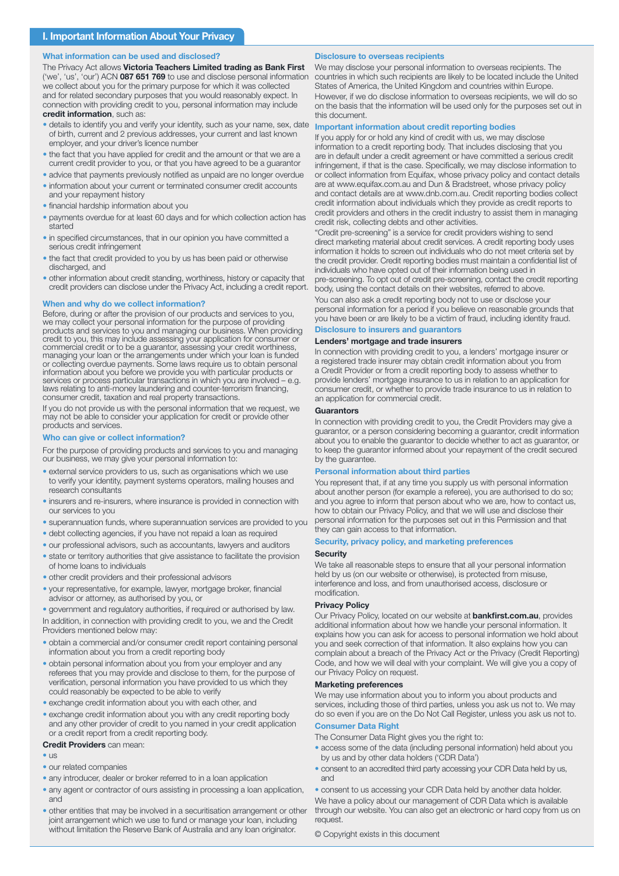## What information can be used and disclosed?

The Privacy Act allows Victoria Teachers Limited trading as Bank First ('we', 'us', 'our') ACN 087 651 769 to use and disclose personal information we collect about you for the primary purpose for which it was collected and for related secondary purposes that you would reasonably expect. In connection with providing credit to you, personal information may include credit information, such as:

- details to identify you and verify your identity, such as your name, sex, date of birth, current and 2 previous addresses, your current and last known employer, and your driver's licence number
- the fact that you have applied for credit and the amount or that we are a current credit provider to you, or that you have agreed to be a guarantor
- advice that payments previously notified as unpaid are no longer overdue • information about your current or terminated consumer credit accounts
- and your repayment history
- financial hardship information about you
- payments overdue for at least 60 days and for which collection action has started
- in specified circumstances, that in our opinion you have committed a serious credit infringement
- the fact that credit provided to you by us has been paid or otherwise discharged, and
- other information about credit standing, worthiness, history or capacity that credit providers can disclose under the Privacy Act, including a credit report.

## When and why do we collect information?

Before, during or after the provision of our products and services to you, we may collect your personal information for the purpose of providing products and services to you and managing our business. When providing credit to you, this may include assessing your application for consumer or commercial credit or to be a guarantor, assessing your credit worthiness, managing your loan or the arrangements under which your loan is funded or collecting overdue payments. Some laws require us to obtain personal information about you before we provide you with particular products or services or process particular transactions in which you are involved – e.g. laws relating to anti-money laundering and counter-terrorism financing, consumer credit, taxation and real property transactions.

If you do not provide us with the personal information that we request, we may not be able to consider your application for credit or provide other products and services.

## **Tho can give or collect information?**

For the purpose of providing products and services to you and managing our business, we may give your personal information to:

- external service providers to us, such as organisations which we use to verify your identity, payment systems operators, mailing houses and research consultants
- insurers and re-insurers, where insurance is provided in connection with our services to you
- superannuation funds, where superannuation services are provided to you
- debt collecting agencies, if you have not repaid a loan as required
- our professional advisors, such as accountants, lawyers and auditors
- state or territory authorities that give assistance to facilitate the provision of home loans to individuals
- other credit providers and their professional advisors
- your representative, for example, lawyer, mortgage broker, financial advisor or attorney, as authorised by you, or

In addition, in connection with providing credit to you, we and the Credit Providers mentioned below may: • government and regulatory authorities, if required or authorised by law.

- · obtain a commercial and/or consumer credit report containing personal information about you from a credit reporting body
- obtain personal information about you from your employer and any referees that you may provide and disclose to them, for the purpose of verification, personal information you have provided to us which they could reasonably be expected to be able to verify
- exchange credit information about you with each other, and
- exchange credit information about you with any credit reporting body and any other provider of credit to you named in your credit application or a credit report from a credit reporting body.

#### Credit Providers can mean:

 $\bullet$  US

- our related companies
- any introducer, dealer or broker referred to in a loan application
- any agent or contractor of ours assisting in processing a loan application, and
- other entities that may be involved in a securitisation arrangement or other joint arrangement which we use to fund or manage your loan, including without limitation the Reserve Bank of Australia and any loan originator.

### Disclosure to overseas recipients

We may disclose your personal information to overseas recipients. The countries in which such recipients are likely to be located include the United States of America, the United Kingdom and countries within Europe. However, if we do disclose information to overseas recipients, we will do so on the basis that the information will be used only for the purposes set out in this document.

### Important information about credit reporting bodies

If you apply for or hold any kind of credit with us, we may disclose information to a credit reporting body. That includes disclosing that you are in default under a credit agreement or have committed a serious credit infringement, if that is the case. Specifically, we may disclose information to or collect information from Equifax, whose privacy policy and contact details are at www.equifax.com.au and Dun & Bradstreet, whose privacy policy and contact details are at www.dnb.com.au. Credit reporting bodies collect credit information about individuals which they provide as credit reports to credit providers and others in the credit industry to assist them in managing credit risk, collecting debts and other activities.

"Credit pre-screening" is a service for credit providers wishing to send direct marketing material about credit services. A credit reporting body uses information it holds to screen out individuals who do not meet criteria set by the credit provider. Credit reporting bodies must maintain a confidential list of individuals who have opted out of their information being used in pre-screening. To opt out of credit pre-screening, contact the credit reporting body, using the contact details on their websites, referred to above.

You can also ask a credit reporting body not to use or disclose your personal information for a period if you believe on reasonable grounds that you have been or are likely to be a victim of fraud, including identity fraud.

# Disclosure to insurers and guarantors

# Lenders' mortgage and trade insurers

In connection with providing credit to you, a lenders' mortgage insurer or a registered trade insurer may obtain credit information about you from a Credit Provider or from a credit reporting body to assess whether to provide lenders' mortgage insurance to us in relation to an application for consumer credit, or whether to provide trade insurance to us in relation to an application for commercial credit.

### **Guarantors**

In connection with providing credit to you, the Credit Providers may give a guarantor, or a person considering becoming a guarantor, credit information about you to enable the guarantor to decide whether to act as guarantor, or to keep the guarantor informed about your repayment of the credit secured by the guarantee.

### Personal information about third parties

You represent that, if at any time you supply us with personal information about another person (for example a referee), you are authorised to do so; and you agree to inform that person about who we are, how to contact us, how to obtain our Privacy Policy, and that we will use and disclose their personal information for the purposes set out in this Permission and that they can gain access to that information.

### Security, privacy policy, and marketing preferences

#### **Security**

We take all reasonable steps to ensure that all your personal information held by us (on our website or otherwise), is protected from misuse, interference and loss, and from unauthorised access, disclosure or modification.

### Privacy Policy

Our Privacy Policy, located on our website at **bankfirst.com.au**, provides additional information about how we handle your personal information. It explains how you can ask for access to personal information we hold about you and seek correction of that information. It also explains how you can complain about a breach of the Privacy Act or the Privacy (Credit Reporting) Code, and how we will deal with your complaint. We will give you a copy of our Privacy Policy on request.

## Marketing preferences

We may use information about you to inform you about products and services, including those of third parties, unless you ask us not to. We may do so even if you are on the Do Not Call Register, unless you ask us not to.

## Consumer Data Right

The Consumer Data Right gives you the right to:

- access some of the data (including personal information) held about you by us and by other data holders ('CDR Data')
- consent to an accredited third party accessing your CDR Data held by us, and
- consent to us accessing your CDR Data held by another data holder.

We have a policy about our management of CDR Data which is available through our website. You can also get an electronic or hard copy from us on request.

© Copyright exists in this document